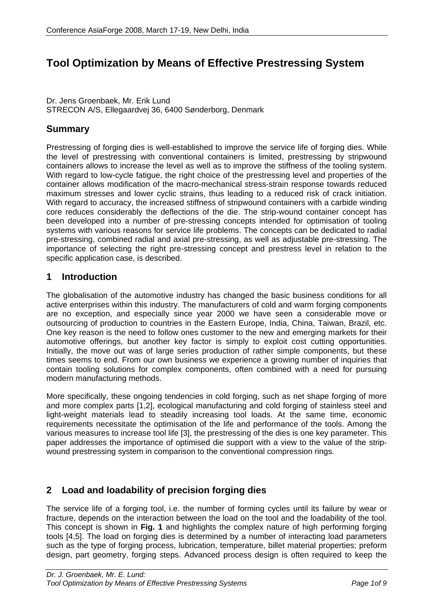# **Tool Optimization by Means of Effective Prestressing System**

Dr. Jens Groenbaek, Mr. Erik Lund STRECON A/S, Ellegaardvej 36, 6400 Sønderborg, Denmark

### **Summary**

Prestressing of forging dies is well-established to improve the service life of forging dies. While the level of prestressing with conventional containers is limited, prestressing by stripwound containers allows to increase the level as well as to improve the stiffness of the tooling system. With regard to low-cycle fatigue, the right choice of the prestressing level and properties of the container allows modification of the macro-mechanical stress-strain response towards reduced maximum stresses and lower cyclic strains, thus leading to a reduced risk of crack initiation. With regard to accuracy, the increased stiffness of stripwound containers with a carbide winding core reduces considerably the deflections of the die. The strip-wound container concept has been developed into a number of pre-stressing concepts intended for optimisation of tooling systems with various reasons for service life problems. The concepts can be dedicated to radial pre-stressing, combined radial and axial pre-stressing, as well as adjustable pre-stressing. The importance of selecting the right pre-stressing concept and prestress level in relation to the specific application case, is described.

#### **1 Introduction**

The globalisation of the automotive industry has changed the basic business conditions for all active enterprises within this industry. The manufacturers of cold and warm forging components are no exception, and especially since year 2000 we have seen a considerable move or outsourcing of production to countries in the Eastern Europe, India, China, Taiwan, Brazil, etc. One key reason is the need to follow ones customer to the new and emerging markets for their automotive offerings, but another key factor is simply to exploit cost cutting opportunities. Initially, the move out was of large series production of rather simple components, but these times seems to end. From our own business we experience a growing number of inquiries that contain tooling solutions for complex components, often combined with a need for pursuing modern manufacturing methods.

More specifically, these ongoing tendencies in cold forging, such as net shape forging of more and more complex parts [1,2], ecological manufacturing and cold forging of stainless steel and light-weight materials lead to steadily increasing tool loads. At the same time, economic requirements necessitate the optimisation of the life and performance of the tools. Among the various measures to increase tool life [3], the prestressing of the dies is one key parameter. This paper addresses the importance of optimised die support with a view to the value of the stripwound prestressing system in comparison to the conventional compression rings.

### **2 Load and loadability of precision forging dies**

The service life of a forging tool, i.e. the number of forming cycles until its failure by wear or fracture, depends on the interaction between the load on the tool and the loadability of the tool. This concept is shown in **Fig. 1** and highlights the complex nature of high performing forging tools [4,5]. The load on forging dies is determined by a number of interacting load parameters such as the type of forging process, lubrication, temperature, billet material properties; preform design, part geometry, forging steps. Advanced process design is often required to keep the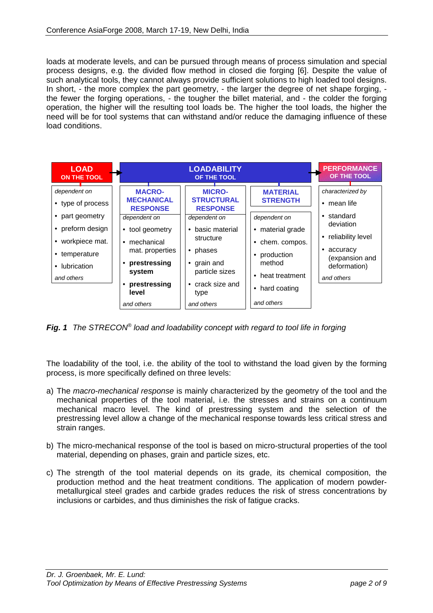loads at moderate levels, and can be pursued through means of process simulation and special process designs, e.g. the divided flow method in closed die forging [6]. Despite the value of such analytical tools, they cannot always provide sufficient solutions to high loaded tool designs. In short, - the more complex the part geometry, - the larger the degree of net shape forging, the fewer the forging operations, - the tougher the billet material, and - the colder the forging operation, the higher will the resulting tool loads be. The higher the tool loads, the higher the need will be for tool systems that can withstand and/or reduce the damaging influence of these load conditions.

| <b>LOAD</b><br><b>ON THE TOOL</b>                                                                                                        |                                                                                                                                                                                                         | <b>LOADABILITY</b><br>OF THE TOOL                                                                                                                                                                                                 |                                                                                                                                                                     | <b>PERFORMANCE</b><br>OF THE TOOL                                                                                                                                           |
|------------------------------------------------------------------------------------------------------------------------------------------|---------------------------------------------------------------------------------------------------------------------------------------------------------------------------------------------------------|-----------------------------------------------------------------------------------------------------------------------------------------------------------------------------------------------------------------------------------|---------------------------------------------------------------------------------------------------------------------------------------------------------------------|-----------------------------------------------------------------------------------------------------------------------------------------------------------------------------|
| dependent on<br>• type of process<br>part geometry<br>preform design<br>• workpiece mat.<br>• temperature<br>• lubrication<br>and others | <b>MACRO-</b><br><b>MECHANICAL</b><br><b>RESPONSE</b><br>dependent on<br>• tool geometry<br>mechanical<br>$\bullet$<br>mat. properties<br>prestressing<br>system<br>prestressing<br>level<br>and others | <b>MICRO-</b><br><b>STRUCTURAL</b><br><b>RESPONSE</b><br>dependent on<br>basic material<br>$\bullet$<br>structure<br>phases<br>$\bullet$<br>grain and<br>٠<br>particle sizes<br>crack size and<br>$\bullet$<br>type<br>and others | <b>MATERIAL</b><br><b>STRENGTH</b><br>dependent on<br>• material grade<br>chem. compos.<br>production<br>method<br>• heat treatment<br>• hard coating<br>and others | characterized by<br>mean life<br>$\bullet$<br>standard<br>$\bullet$<br>deviation<br>reliability level<br>٠<br>accuracy<br>٠<br>(expansion and<br>deformation)<br>and others |

*Fig. 1 The STRECON® load and loadability concept with regard to tool life in forging*

The loadability of the tool, i.e. the ability of the tool to withstand the load given by the forming process, is more specifically defined on three levels:

- a) The *macro-mechanical response* is mainly characterized by the geometry of the tool and the mechanical properties of the tool material, i.e. the stresses and strains on a continuum mechanical macro level. The kind of prestressing system and the selection of the prestressing level allow a change of the mechanical response towards less critical stress and strain ranges.
- b) The micro-mechanical response of the tool is based on micro-structural properties of the tool material, depending on phases, grain and particle sizes, etc.
- c) The strength of the tool material depends on its grade, its chemical composition, the production method and the heat treatment conditions. The application of modern powdermetallurgical steel grades and carbide grades reduces the risk of stress concentrations by inclusions or carbides, and thus diminishes the risk of fatigue cracks.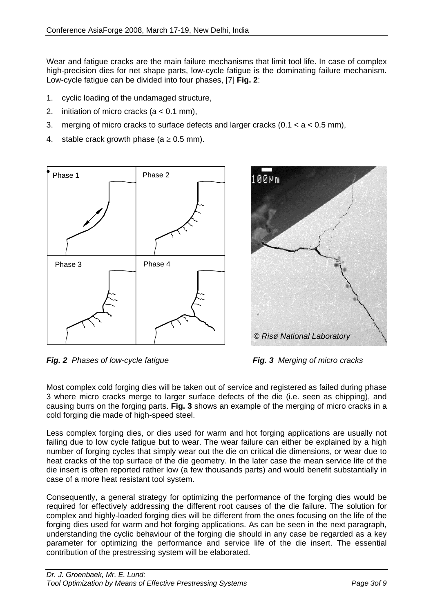Wear and fatigue cracks are the main failure mechanisms that limit tool life. In case of complex high-precision dies for net shape parts, low-cycle fatigue is the dominating failure mechanism. Low-cycle fatigue can be divided into four phases, [7] **Fig. 2**:

- 1. cyclic loading of the undamaged structure,
- 2. initiation of micro cracks (a < 0.1 mm),
- 3. merging of micro cracks to surface defects and larger cracks  $(0.1 < a < 0.5$  mm),
- 4. stable crack growth phase ( $a \ge 0.5$  mm).





*Fig. 2 Phases of low-cycle fatigue Fig. 3 Merging of micro cracks* 

Most complex cold forging dies will be taken out of service and registered as failed during phase 3 where micro cracks merge to larger surface defects of the die (i.e. seen as chipping), and causing burrs on the forging parts. **Fig. 3** shows an example of the merging of micro cracks in a cold forging die made of high-speed steel.

Less complex forging dies, or dies used for warm and hot forging applications are usually not failing due to low cycle fatigue but to wear. The wear failure can either be explained by a high number of forging cycles that simply wear out the die on critical die dimensions, or wear due to heat cracks of the top surface of the die geometry. In the later case the mean service life of the die insert is often reported rather low (a few thousands parts) and would benefit substantially in case of a more heat resistant tool system.

Consequently, a general strategy for optimizing the performance of the forging dies would be required for effectively addressing the different root causes of the die failure. The solution for complex and highly-loaded forging dies will be different from the ones focusing on the life of the forging dies used for warm and hot forging applications. As can be seen in the next paragraph, understanding the cyclic behaviour of the forging die should in any case be regarded as a key parameter for optimizing the performance and service life of the die insert. The essential contribution of the prestressing system will be elaborated.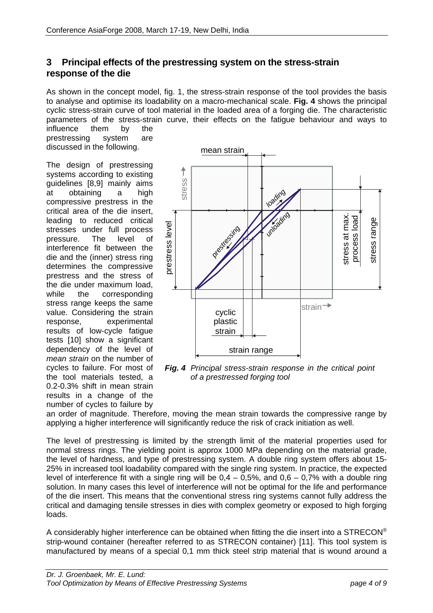## **3 Principal effects of the prestressing system on the stress-strain response of the die**

As shown in the concept model, fig. 1, the stress-strain response of the tool provides the basis to analyse and optimise its loadability on a macro-mechanical scale. **Fig. 4** shows the principal cyclic stress-strain curve of tool material in the loaded area of a forging die. The characteristic parameters of the stress-strain curve, their effects on the fatigue behaviour and ways to

influence them by the prestressing system are discussed in the following.

The design of prestressing systems according to existing guidelines [8,9] mainly aims at obtaining a high compressive prestress in the critical area of the die insert, leading to reduced critical stresses under full process pressure. The level of interference fit between the die and the (inner) stress ring determines the compressive prestress and the stress of the die under maximum load, while the corresponding stress range keeps the same value. Considering the strain response, experimental results of low-cycle fatigue tests [10] show a significant dependency of the level of *mean strain* on the number of cycles to failure. For most of the tool materials tested, a 0.2-0.3% shift in mean strain results in a change of the number of cycles to failure by



*Fig. 4 Principal stress-strain response in the critical point of a prestressed forging tool*

an order of magnitude. Therefore, moving the mean strain towards the compressive range by applying a higher interference will significantly reduce the risk of crack initiation as well.

The level of prestressing is limited by the strength limit of the material properties used for normal stress rings. The yielding point is approx 1000 MPa depending on the material grade, the level of hardness, and type of prestressing system. A double ring system offers about 15- 25% in increased tool loadability compared with the single ring system. In practice, the expected level of interference fit with a single ring will be  $0.4 - 0.5\%$ , and  $0.6 - 0.7\%$  with a double ring solution. In many cases this level of interference will not be optimal for the life and performance of the die insert. This means that the conventional stress ring systems cannot fully address the critical and damaging tensile stresses in dies with complex geometry or exposed to high forging loads.

A considerably higher interference can be obtained when fitting the die insert into a  $STRECON^{\circledcirc}$ strip-wound container (hereafter referred to as STRECON container) [11]. This tool system is manufactured by means of a special 0,1 mm thick steel strip material that is wound around a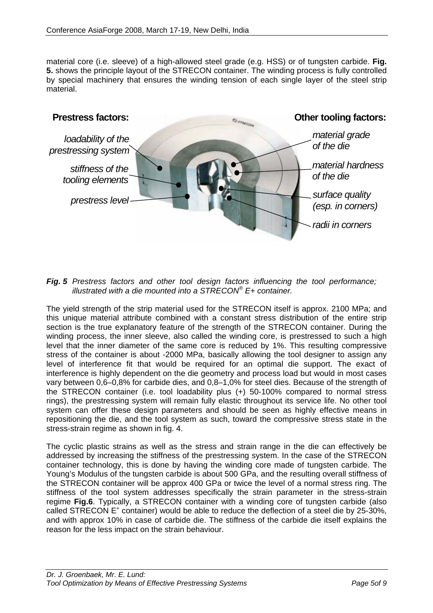material core (i.e. sleeve) of a high-allowed steel grade (e.g. HSS) or of tungsten carbide. **Fig. 5.** shows the principle layout of the STRECON container. The winding process is fully controlled by special machinery that ensures the winding tension of each single layer of the steel strip material.



*Fig. 5 Prestress factors and other tool design factors influencing the tool performance; illustrated with a die mounted into a STRECON® E+ container.* 

The yield strength of the strip material used for the STRECON itself is approx. 2100 MPa; and this unique material attribute combined with a constant stress distribution of the entire strip section is the true explanatory feature of the strength of the STRECON container. During the winding process, the inner sleeve, also called the winding core, is prestressed to such a high level that the inner diameter of the same core is reduced by 1%. This resulting compressive stress of the container is about -2000 MPa, basically allowing the tool designer to assign any level of interference fit that would be required for an optimal die support. The exact of interference is highly dependent on the die geometry and process load but would in most cases vary between 0,6–0,8% for carbide dies, and 0,8–1,0% for steel dies. Because of the strength of the STRECON container (i.e. tool loadability plus (+) 50-100% compared to normal stress rings), the prestressing system will remain fully elastic throughout its service life. No other tool system can offer these design parameters and should be seen as highly effective means in repositioning the die, and the tool system as such, toward the compressive stress state in the stress-strain regime as shown in fig. 4.

The cyclic plastic strains as well as the stress and strain range in the die can effectively be addressed by increasing the stiffness of the prestressing system. In the case of the STRECON container technology, this is done by having the winding core made of tungsten carbide. The Young's Modulus of the tungsten carbide is about 500 GPa, and the resulting overall stiffness of the STRECON container will be approx 400 GPa or twice the level of a normal stress ring. The stiffness of the tool system addresses specifically the strain parameter in the stress-strain regime **Fig.6**. Typically, a STRECON container with a winding core of tungsten carbide (also called STRECON E<sup>+</sup> container) would be able to reduce the deflection of a steel die by 25-30%, and with approx 10% in case of carbide die. The stiffness of the carbide die itself explains the reason for the less impact on the strain behaviour.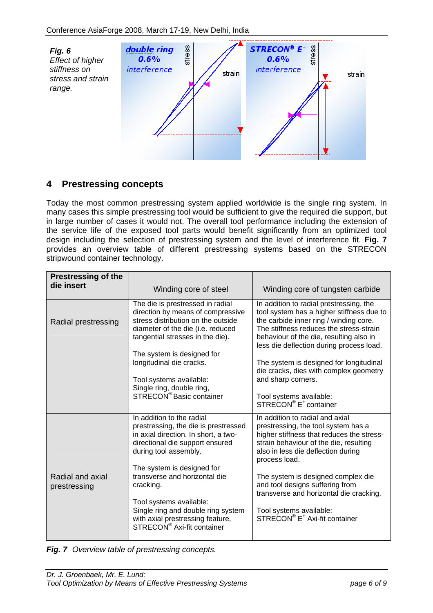

## **4 Prestressing concepts**

Today the most common prestressing system applied worldwide is the single ring system. In many cases this simple prestressing tool would be sufficient to give the required die support, but in large number of cases it would not. The overall tool performance including the extension of the service life of the exposed tool parts would benefit significantly from an optimized tool design including the selection of prestressing system and the level of interference fit. **Fig. 7** provides an overview table of different prestressing systems based on the STRECON stripwound container technology.

| <b>Prestressing of the</b><br>die insert | Winding core of steel                                                                                                                                                                               | Winding core of tungsten carbide                                                                                                                                                                                                                                 |  |  |
|------------------------------------------|-----------------------------------------------------------------------------------------------------------------------------------------------------------------------------------------------------|------------------------------------------------------------------------------------------------------------------------------------------------------------------------------------------------------------------------------------------------------------------|--|--|
| Radial prestressing                      | The die is prestressed in radial<br>direction by means of compressive<br>stress distribution on the outside<br>diameter of the die (i.e. reduced<br>tangential stresses in the die).                | In addition to radial prestressing, the<br>tool system has a higher stiffness due to<br>the carbide inner ring / winding core.<br>The stiffness reduces the stress-strain<br>behaviour of the die, resulting also in<br>less die deflection during process load. |  |  |
|                                          | The system is designed for<br>longitudinal die cracks.<br>Tool systems available:<br>Single ring, double ring,<br>STRECON <sup>®</sup> Basic container                                              | The system is designed for longitudinal<br>die cracks, dies with complex geometry<br>and sharp corners.<br>Tool systems available:<br>STRECON® E <sup>+</sup> container                                                                                          |  |  |
|                                          | In addition to the radial<br>prestressing, the die is prestressed<br>in axial direction. In short, a two-<br>directional die support ensured<br>during tool assembly.<br>The system is designed for | In addition to radial and axial<br>prestressing, the tool system has a<br>higher stiffness that reduces the stress-<br>strain behaviour of the die, resulting<br>also in less die deflection during<br>process load.                                             |  |  |
| Radial and axial<br>prestressing         | transverse and horizontal die<br>cracking.<br>Tool systems available:<br>Single ring and double ring system<br>with axial prestressing feature,<br>STRECON <sup>®</sup> Axi-fit container           | The system is designed complex die<br>and tool designs suffering from<br>transverse and horizontal die cracking.<br>Tool systems available:<br>STRECON® E <sup>+</sup> Axi-fit container                                                                         |  |  |

*Fig. 7 Overview table of prestressing concepts.*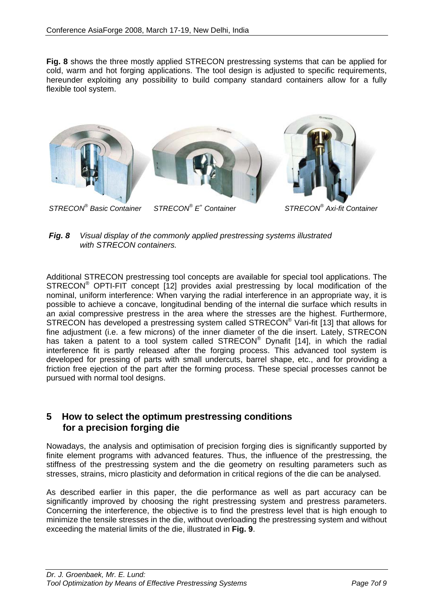**Fig. 8** shows the three mostly applied STRECON prestressing systems that can be applied for cold, warm and hot forging applications. The tool design is adjusted to specific requirements, hereunder exploiting any possibility to build company standard containers allow for a fully flexible tool system.





Additional STRECON prestressing tool concepts are available for special tool applications. The STRECON® OPTI-FIT concept [12] provides axial prestressing by local modification of the nominal, uniform interference: When varying the radial interference in an appropriate way, it is possible to achieve a concave, longitudinal bending of the internal die surface which results in an axial compressive prestress in the area where the stresses are the highest. Furthermore, STRECON has developed a prestressing system called STRECON® Vari-fit [13] that allows for fine adjustment (i.e. a few microns) of the inner diameter of the die insert. Lately, STRECON has taken a patent to a tool system called STRECON<sup>®</sup> Dynafit [14], in which the radial interference fit is partly released after the forging process. This advanced tool system is developed for pressing of parts with small undercuts, barrel shape, etc., and for providing a friction free ejection of the part after the forming process. These special processes cannot be pursued with normal tool designs.

### **5 How to select the optimum prestressing conditions for a precision forging die**

Nowadays, the analysis and optimisation of precision forging dies is significantly supported by finite element programs with advanced features. Thus, the influence of the prestressing, the stiffness of the prestressing system and the die geometry on resulting parameters such as stresses, strains, micro plasticity and deformation in critical regions of the die can be analysed.

As described earlier in this paper, the die performance as well as part accuracy can be significantly improved by choosing the right prestressing system and prestress parameters. Concerning the interference, the objective is to find the prestress level that is high enough to minimize the tensile stresses in the die, without overloading the prestressing system and without exceeding the material limits of the die, illustrated in **Fig. 9**.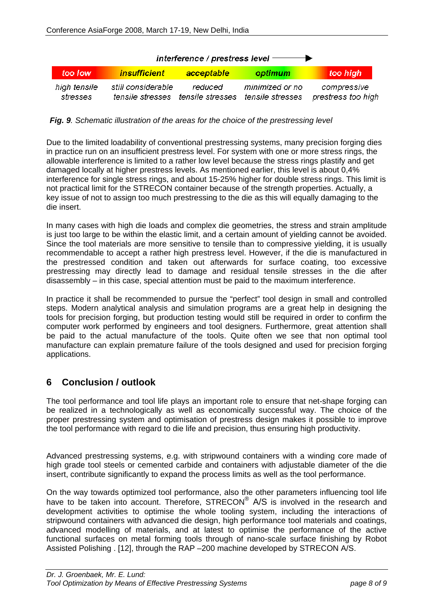| interference / prestress level $\longrightarrow$ |                    |                                                               |                 |                                   |  |  |
|--------------------------------------------------|--------------------|---------------------------------------------------------------|-----------------|-----------------------------------|--|--|
| too Tow                                          | insufficient       | acceptable                                                    | optimum         | too high                          |  |  |
| high tensile<br>stresses                         | still considerable | reduced<br>tensile stresses tensile stresses tensile stresses | minimized or no | compressive<br>prestress too high |  |  |

*Fig. 9. Schematic illustration of the areas for the choice of the prestressing level* 

Due to the limited loadability of conventional prestressing systems, many precision forging dies in practice run on an insufficient prestress level. For system with one or more stress rings, the allowable interference is limited to a rather low level because the stress rings plastify and get damaged locally at higher prestress levels. As mentioned earlier, this level is about 0,4% interference for single stress rings, and about 15-25% higher for double stress rings. This limit is not practical limit for the STRECON container because of the strength properties. Actually, a key issue of not to assign too much prestressing to the die as this will equally damaging to the die insert.

In many cases with high die loads and complex die geometries, the stress and strain amplitude is just too large to be within the elastic limit, and a certain amount of yielding cannot be avoided. Since the tool materials are more sensitive to tensile than to compressive yielding, it is usually recommendable to accept a rather high prestress level. However, if the die is manufactured in the prestressed condition and taken out afterwards for surface coating, too excessive prestressing may directly lead to damage and residual tensile stresses in the die after disassembly – in this case, special attention must be paid to the maximum interference.

In practice it shall be recommended to pursue the "perfect" tool design in small and controlled steps. Modern analytical analysis and simulation programs are a great help in designing the tools for precision forging, but production testing would still be required in order to confirm the computer work performed by engineers and tool designers. Furthermore, great attention shall be paid to the actual manufacture of the tools. Quite often we see that non optimal tool manufacture can explain premature failure of the tools designed and used for precision forging applications.

## **6 Conclusion / outlook**

The tool performance and tool life plays an important role to ensure that net-shape forging can be realized in a technologically as well as economically successful way. The choice of the proper prestressing system and optimisation of prestress design makes it possible to improve the tool performance with regard to die life and precision, thus ensuring high productivity.

Advanced prestressing systems, e.g. with stripwound containers with a winding core made of high grade tool steels or cemented carbide and containers with adjustable diameter of the die insert, contribute significantly to expand the process limits as well as the tool performance.

On the way towards optimized tool performance, also the other parameters influencing tool life have to be taken into account. Therefore, STRECON® A/S is involved in the research and development activities to optimise the whole tooling system, including the interactions of stripwound containers with advanced die design, high performance tool materials and coatings, advanced modelling of materials, and at latest to optimise the performance of the active functional surfaces on metal forming tools through of nano-scale surface finishing by Robot Assisted Polishing . [12], through the RAP –200 machine developed by STRECON A/S.